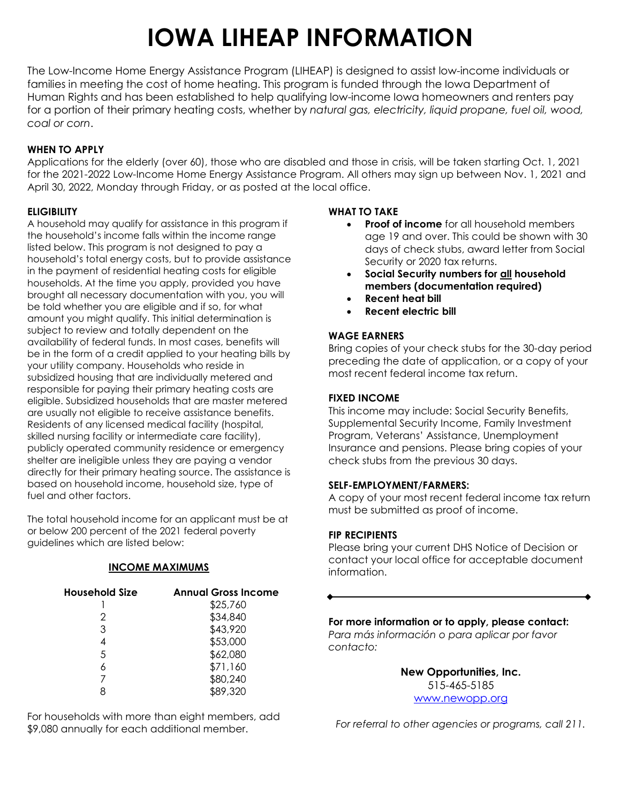# **IOWA LIHEAP INFORMATION**

The Low-Income Home Energy Assistance Program (LIHEAP) is designed to assist low-income individuals or families in meeting the cost of home heating. This program is funded through the Iowa Department of Human Rights and has been established to help qualifying low-income Iowa homeowners and renters pay for a portion of their primary heating costs, whether by *natural gas, electricity, liquid propane, fuel oil, wood, coal or corn*.

#### **WHEN TO APPLY**

Applications for the elderly (over 60), those who are disabled and those in crisis, will be taken starting Oct. 1, 2021 for the 2021-2022 Low-Income Home Energy Assistance Program. All others may sign up between Nov. 1, 2021 and April 30, 2022, Monday through Friday, or as posted at the local office.

#### **ELIGIBILITY**

A household may qualify for assistance in this program if the household's income falls within the income range listed below. This program is not designed to pay a household's total energy costs, but to provide assistance in the payment of residential heating costs for eligible households. At the time you apply, provided you have brought all necessary documentation with you, you will be told whether you are eligible and if so, for what amount you might qualify. This initial determination is subject to review and totally dependent on the availability of federal funds. In most cases, benefits will be in the form of a credit applied to your heating bills by your utility company. Households who reside in subsidized housing that are individually metered and responsible for paying their primary heating costs are eligible. Subsidized households that are master metered are usually not eligible to receive assistance benefits. Residents of any licensed medical facility (hospital, skilled nursing facility or intermediate care facility), publicly operated community residence or emergency shelter are ineligible unless they are paying a vendor directly for their primary heating source. The assistance is based on household income, household size, type of fuel and other factors.

The total household income for an applicant must be at or below 200 percent of the 2021 federal poverty guidelines which are listed below:

#### **INCOME MAXIMUMS**

| <b>Household Size</b> | <b>Annual Gross Income</b> |
|-----------------------|----------------------------|
|                       | \$25,760                   |
| 2                     | \$34,840                   |
| 3                     | \$43,920                   |
|                       | \$53,000                   |
| 5                     | \$62,080                   |
|                       | \$71,160                   |
|                       | \$80,240                   |
|                       | \$89,320                   |

For households with more than eight members, add \$9,080 annually for each additional member.

#### **WHAT TO TAKE**

- **Proof of income** for all household members age 19 and over. This could be shown with 30 days of check stubs, award letter from Social Security or 2020 tax returns.
- **Social Security numbers for all household members (documentation required)**
- **Recent heat bill**
- **Recent electric bill**

#### **WAGE EARNERS**

Bring copies of your check stubs for the 30-day period preceding the date of application, or a copy of your most recent federal income tax return.

#### **FIXED INCOME**

This income may include: Social Security Benefits, Supplemental Security Income, Family Investment Program, Veterans' Assistance, Unemployment Insurance and pensions. Please bring copies of your check stubs from the previous 30 days.

#### **SELF-EMPLOYMENT/FARMERS:**

A copy of your most recent federal income tax return must be submitted as proof of income.

#### **FIP RECIPIENTS**

Please bring your current DHS Notice of Decision or contact your local office for acceptable document information.

#### **For more information or to apply, please contact:**

*Para más información o para aplicar por favor contacto:*

> **New Opportunities, Inc.** 515-465-5185 [www.newopp.org](http://www.newopp.org/)

*For referral to other agencies or programs, call 211.*